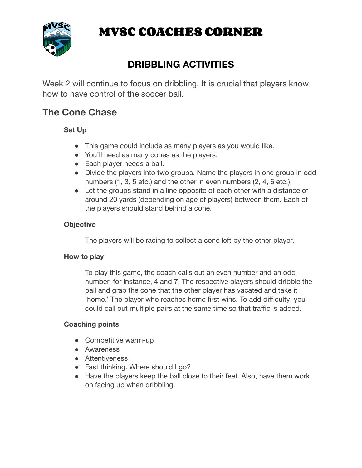

# **MVSC COACHES CORNER**

## **DRIBBLING ACTIVITIES**

Week 2 will continue to focus on dribbling. It is crucial that players know how to have control of the soccer ball.

### **The Cone Chase**

#### **Set Up**

- This game could include as many players as you would like.
- You'll need as many cones as the players.
- Each player needs a ball.
- Divide the players into two groups. Name the players in one group in odd numbers (1, 3, 5 etc.) and the other in even numbers (2, 4, 6 etc.).
- Let the groups stand in a line opposite of each other with a distance of around 20 yards (depending on age of players) between them. Each of the players should stand behind a cone.

#### **Objective**

The players will be racing to collect a cone left by the other player.

#### **How to play**

To play this game, the coach calls out an even number and an odd number, for instance, 4 and 7. The respective players should dribble the ball and grab the cone that the other player has vacated and take it 'home.' The player who reaches home first wins. To add difficulty, you could call out multiple pairs at the same time so that traffic is added.

#### **Coaching points**

- Competitive warm-up
- Awareness
- Attentiveness
- Fast thinking. Where should I go?
- Have the players keep the ball close to their feet. Also, have them work on facing up when dribbling.